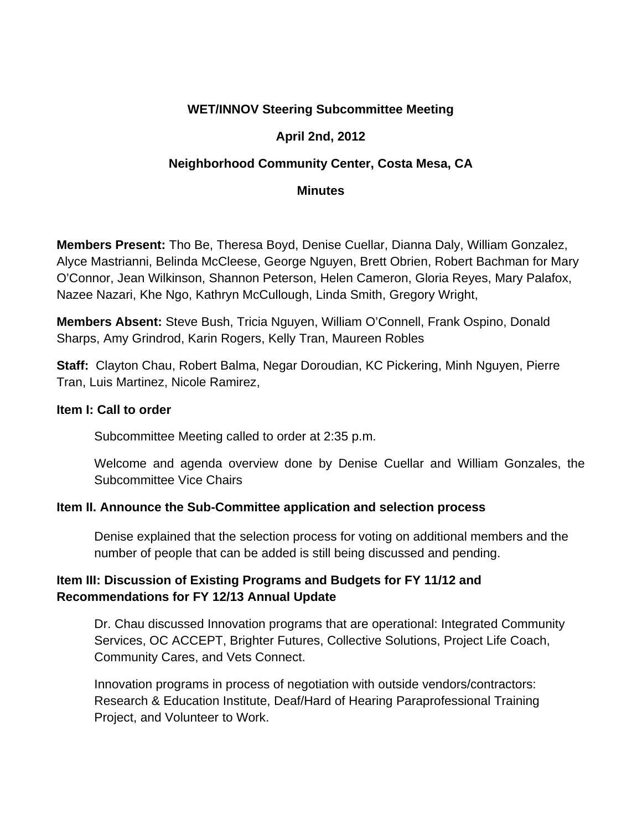# **WET/INNOV Steering Subcommittee Meeting**

## **April 2nd, 2012**

## **Neighborhood Community Center, Costa Mesa, CA**

#### **Minutes**

**Members Present:** Tho Be, Theresa Boyd, Denise Cuellar, Dianna Daly, William Gonzalez, Alyce Mastrianni, Belinda McCleese, George Nguyen, Brett Obrien, Robert Bachman for Mary O'Connor, Jean Wilkinson, Shannon Peterson, Helen Cameron, Gloria Reyes, Mary Palafox, Nazee Nazari, Khe Ngo, Kathryn McCullough, Linda Smith, Gregory Wright,

**Members Absent:** Steve Bush, Tricia Nguyen, William O'Connell, Frank Ospino, Donald Sharps, Amy Grindrod, Karin Rogers, Kelly Tran, Maureen Robles

**Staff:** Clayton Chau, Robert Balma, Negar Doroudian, KC Pickering, Minh Nguyen, Pierre Tran, Luis Martinez, Nicole Ramirez,

#### **Item I: Call to order**

Subcommittee Meeting called to order at 2:35 p.m.

Welcome and agenda overview done by Denise Cuellar and William Gonzales, the Subcommittee Vice Chairs

### **Item II. Announce the Sub-Committee application and selection process**

Denise explained that the selection process for voting on additional members and the number of people that can be added is still being discussed and pending.

## **Item III: Discussion of Existing Programs and Budgets for FY 11/12 and Recommendations for FY 12/13 Annual Update**

Dr. Chau discussed Innovation programs that are operational: Integrated Community Services, OC ACCEPT, Brighter Futures, Collective Solutions, Project Life Coach, Community Cares, and Vets Connect.

Innovation programs in process of negotiation with outside vendors/contractors: Research & Education Institute, Deaf/Hard of Hearing Paraprofessional Training Project, and Volunteer to Work.